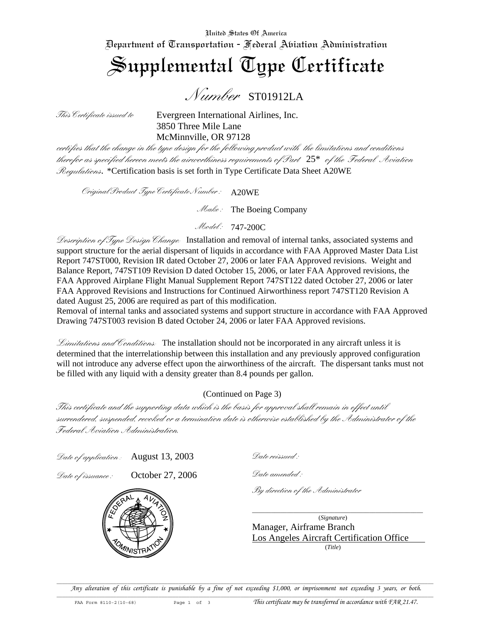United States Of America Department of Transportation - Federal Aviation Administration

## Supplemental Type Certificate

*Number* ST01912LA

*This Certificate issued to* Evergreen International Airlines, Inc. 3850 Three Mile Lane McMinnville, OR 97128

*certifies that the change in the type design for the following product with the limitations and conditions therefor as specified hereon meets the airworthiness requirements of Part* 25\* *of the Federal Aviation Regulations*. \*Certification basis is set forth in Type Certificate Data Sheet A20WE

*Original Product Type Certificate Number :*  A20WE

*Make :* The Boeing Company

*Model :* 747-200C

*Description of Type Design Change:* Installation and removal of internal tanks, associated systems and support structure for the aerial dispersant of liquids in accordance with FAA Approved Master Data List Report 747ST000, Revision IR dated October 27, 2006 or later FAA Approved revisions. Weight and Balance Report, 747ST109 Revision D dated October 15, 2006, or later FAA Approved revisions, the FAA Approved Airplane Flight Manual Supplement Report 747ST122 dated October 27, 2006 or later FAA Approved Revisions and Instructions for Continued Airworthiness report 747ST120 Revision A dated August 25, 2006 are required as part of this modification.

Removal of internal tanks and associated systems and support structure in accordance with FAA Approved Drawing 747ST003 revision B dated October 24, 2006 or later FAA Approved revisions.

*Limitations and Conditions:* The installation should not be incorporated in any aircraft unless it is determined that the interrelationship between this installation and any previously approved configuration will not introduce any adverse effect upon the airworthiness of the aircraft. The dispersant tanks must not be filled with any liquid with a density greater than 8.4 pounds per gallon.

(Continued on Page 3)

*This certificate and the supporting data which is the basis for approval shall remain in effect until surrendered, suspended, revoked or a termination date is otherwise established by the Administrator of the Federal Aviation Administration.* 

*Date of application :* August 13, 2003

*Date of issuance :* October 27, 2006



 *Date reissued :*

*Date amended :*

*By direction of the Administrator*

\_\_\_\_\_\_\_\_\_\_\_\_\_\_\_\_\_\_\_\_\_\_\_\_\_\_\_\_\_\_\_\_\_\_\_\_\_\_\_\_\_\_\_\_\_\_\_\_\_\_\_\_\_\_ (*Signature*)

Manager, Airframe Branch Los Angeles Aircraft Certification Office (*Title*)

 $\mathcal{L} = \{ \mathcal{L} = \{ \mathcal{L} = \{ \mathcal{L} = \{ \mathcal{L} = \{ \mathcal{L} = \{ \mathcal{L} = \{ \mathcal{L} = \{ \mathcal{L} = \{ \mathcal{L} = \{ \mathcal{L} = \{ \mathcal{L} = \{ \mathcal{L} = \{ \mathcal{L} = \{ \mathcal{L} = \{ \mathcal{L} = \{ \mathcal{L} = \{ \mathcal{L} = \{ \mathcal{L} = \{ \mathcal{L} = \{ \mathcal{L} = \{ \mathcal{L} = \{ \mathcal{L} = \{ \mathcal{L} = \{ \mathcal{$ *Any alteration of this certificate is punishable by a fine of not exceeding \$1,000, or imprisonment not exceeding 3 years, or both.*